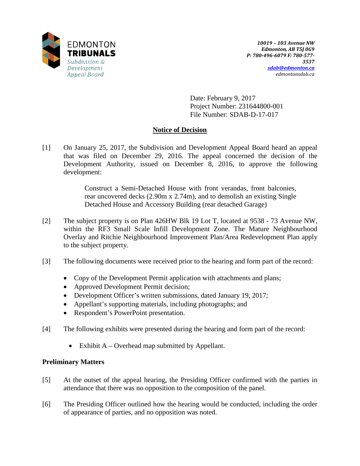

Date: February 9, 2017 Project Number: 231644800-001 File Number: SDAB-D-17-017

# **Notice of Decision**

[1] On January 25, 2017, the Subdivision and Development Appeal Board heard an appeal that was filed on December 29, 2016. The appeal concerned the decision of the Development Authority, issued on December 8, 2016, to approve the following development:

> Construct a Semi-Detached House with front verandas, front balconies, rear uncovered decks (2.90m x 2.74m), and to demolish an existing Single Detached House and Accessory Building (rear detached Garage)

- [2] The subject property is on Plan 426HW Blk 19 Lot T, located at 9538 73 Avenue NW, within the RF3 Small Scale Infill Development Zone. The Mature Neighbourhood Overlay and Ritchie Neighbourhood Improvement Plan/Area Redevelopment Plan apply to the subject property.
- [3] The following documents were received prior to the hearing and form part of the record:
	- Copy of the Development Permit application with attachments and plans;
	- Approved Development Permit decision;
	- Development Officer's written submissions, dated January 19, 2017;
	- Appellant's supporting materials, including photographs; and
	- Respondent's PowerPoint presentation.
- [4] The following exhibits were presented during the hearing and form part of the record:
	- Exhibit A Overhead map submitted by Appellant.

# **Preliminary Matters**

- [5] At the outset of the appeal hearing, the Presiding Officer confirmed with the parties in attendance that there was no opposition to the composition of the panel.
- [6] The Presiding Officer outlined how the hearing would be conducted, including the order of appearance of parties, and no opposition was noted.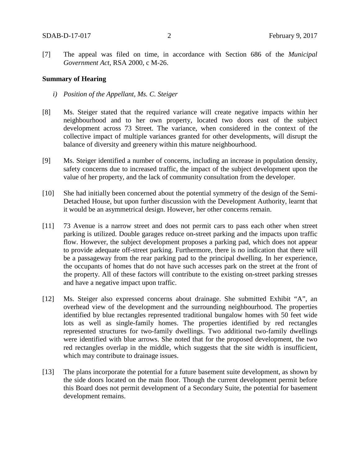[7] The appeal was filed on time, in accordance with Section 686 of the *Municipal Government Act*, RSA 2000, c M-26.

### **Summary of Hearing**

- *i) Position of the Appellant, Ms. C. Steiger*
- [8] Ms. Steiger stated that the required variance will create negative impacts within her neighbourhood and to her own property, located two doors east of the subject development across 73 Street. The variance, when considered in the context of the collective impact of multiple variances granted for other developments, will disrupt the balance of diversity and greenery within this mature neighbourhood.
- [9] Ms. Steiger identified a number of concerns, including an increase in population density, safety concerns due to increased traffic, the impact of the subject development upon the value of her property, and the lack of community consultation from the developer.
- [10] She had initially been concerned about the potential symmetry of the design of the Semi-Detached House, but upon further discussion with the Development Authority, learnt that it would be an asymmetrical design. However, her other concerns remain.
- [11] 73 Avenue is a narrow street and does not permit cars to pass each other when street parking is utilized. Double garages reduce on-street parking and the impacts upon traffic flow. However, the subject development proposes a parking pad, which does not appear to provide adequate off-street parking. Furthermore, there is no indication that there will be a passageway from the rear parking pad to the principal dwelling. In her experience, the occupants of homes that do not have such accesses park on the street at the front of the property. All of these factors will contribute to the existing on-street parking stresses and have a negative impact upon traffic.
- [12] Ms. Steiger also expressed concerns about drainage. She submitted Exhibit "A", an overhead view of the development and the surrounding neighbourhood. The properties identified by blue rectangles represented traditional bungalow homes with 50 feet wide lots as well as single-family homes. The properties identified by red rectangles represented structures for two-family dwellings. Two additional two-family dwellings were identified with blue arrows. She noted that for the proposed development, the two red rectangles overlap in the middle, which suggests that the site width is insufficient, which may contribute to drainage issues.
- [13] The plans incorporate the potential for a future basement suite development, as shown by the side doors located on the main floor. Though the current development permit before this Board does not permit development of a Secondary Suite, the potential for basement development remains.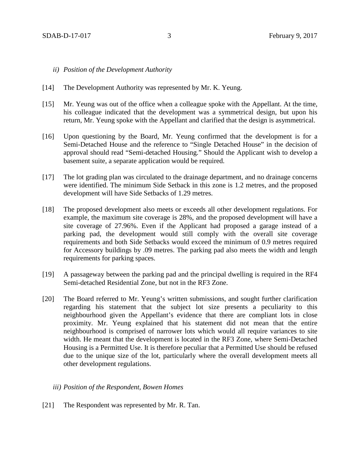#### *ii) Position of the Development Authority*

- [14] The Development Authority was represented by Mr. K. Yeung.
- [15] Mr. Yeung was out of the office when a colleague spoke with the Appellant. At the time, his colleague indicated that the development was a symmetrical design, but upon his return, Mr. Yeung spoke with the Appellant and clarified that the design is asymmetrical.
- [16] Upon questioning by the Board, Mr. Yeung confirmed that the development is for a Semi-Detached House and the reference to "Single Detached House" in the decision of approval should read "Semi-detached Housing." Should the Applicant wish to develop a basement suite, a separate application would be required.
- [17] The lot grading plan was circulated to the drainage department, and no drainage concerns were identified. The minimum Side Setback in this zone is 1.2 metres, and the proposed development will have Side Setbacks of 1.29 metres.
- [18] The proposed development also meets or exceeds all other development regulations. For example, the maximum site coverage is 28%, and the proposed development will have a site coverage of 27.96%. Even if the Applicant had proposed a garage instead of a parking pad, the development would still comply with the overall site coverage requirements and both Side Setbacks would exceed the minimum of 0.9 metres required for Accessory buildings by .09 metres. The parking pad also meets the width and length requirements for parking spaces.
- [19] A passageway between the parking pad and the principal dwelling is required in the RF4 Semi-detached Residential Zone, but not in the RF3 Zone.
- [20] The Board referred to Mr. Yeung's written submissions, and sought further clarification regarding his statement that the subject lot size presents a peculiarity to this neighbourhood given the Appellant's evidence that there are compliant lots in close proximity. Mr. Yeung explained that his statement did not mean that the entire neighbourhood is comprised of narrower lots which would all require variances to site width. He meant that the development is located in the RF3 Zone, where Semi-Detached Housing is a Permitted Use. It is therefore peculiar that a Permitted Use should be refused due to the unique size of the lot, particularly where the overall development meets all other development regulations.
	- *iii) Position of the Respondent, Bowen Homes*
- [21] The Respondent was represented by Mr. R. Tan.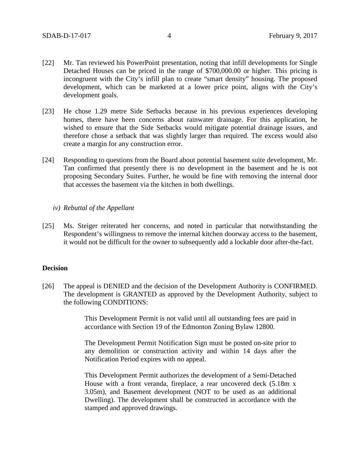- [22] Mr. Tan reviewed his PowerPoint presentation, noting that infill developments for Single Detached Houses can be priced in the range of \$700,000.00 or higher. This pricing is incongruent with the City's infill plan to create "smart density" housing. The proposed development, which can be marketed at a lower price point, aligns with the City's development goals.
- [23] He chose 1.29 metre Side Setbacks because in his previous experiences developing homes, there have been concerns about rainwater drainage. For this application, he wished to ensure that the Side Setbacks would mitigate potential drainage issues, and therefore chose a setback that was slightly larger than required. The excess would also create a margin for any construction error.
- [24] Responding to questions from the Board about potential basement suite development, Mr. Tan confirmed that presently there is no development in the basement and he is not proposing Secondary Suites. Further, he would be fine with removing the internal door that accesses the basement via the kitchen in both dwellings.
	- *iv) Rebuttal of the Appellant*
- [25] Ms. Steiger reiterated her concerns, and noted in particular that notwithstanding the Respondent's willingness to remove the internal kitchen doorway access to the basement, it would not be difficult for the owner to subsequently add a lockable door after-the-fact.

### **Decision**

[26] The appeal is DENIED and the decision of the Development Authority is CONFIRMED. The development is GRANTED as approved by the Development Authority, subject to the following CONDITIONS:

> This Development Permit is not valid until all outstanding fees are paid in accordance with Section 19 of the Edmonton Zoning Bylaw 12800.

> The Development Permit Notification Sign must be posted on-site prior to any demolition or construction activity and within 14 days after the Notification Period expires with no appeal.

> This Development Permit authorizes the development of a Semi-Detached House with a front veranda, fireplace, a rear uncovered deck (5.18m x 3.05m), and Basement development (NOT to be used as an additional Dwelling). The development shall be constructed in accordance with the stamped and approved drawings.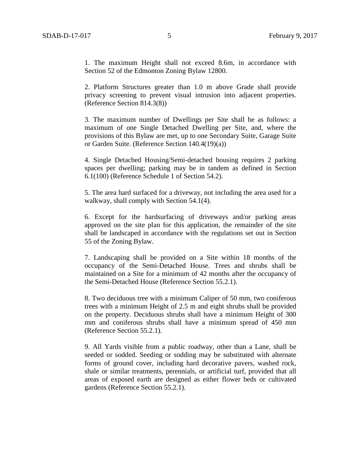1. The maximum Height shall not exceed 8.6m, in accordance with Section 52 of the Edmonton Zoning Bylaw 12800.

2. Platform Structures greater than 1.0 m above Grade shall provide privacy screening to prevent visual intrusion into adjacent properties. (Reference Section 814.3(8))

3. The maximum number of Dwellings per Site shall be as follows: a maximum of one Single Detached Dwelling per Site, and, where the provisions of this Bylaw are met, up to one Secondary Suite, Garage Suite or Garden Suite. (Reference Section 140.4(19)(a))

4. Single Detached Housing/Semi-detached housing requires 2 parking spaces per dwelling; parking may be in tandem as defined in Section 6.1(100) (Reference Schedule 1 of Section 54.2).

5. The area hard surfaced for a driveway, not including the area used for a walkway, shall comply with Section 54.1(4).

6. Except for the hardsurfacing of driveways and/or parking areas approved on the site plan for this application, the remainder of the site shall be landscaped in accordance with the regulations set out in Section 55 of the Zoning Bylaw.

7. Landscaping shall be provided on a Site within 18 months of the occupancy of the Semi-Detached House. Trees and shrubs shall be maintained on a Site for a minimum of 42 months after the occupancy of the Semi-Detached House (Reference Section 55.2.1).

8. Two deciduous tree with a minimum Caliper of 50 mm, two coniferous trees with a minimum Height of 2.5 m and eight shrubs shall be provided on the property. Deciduous shrubs shall have a minimum Height of 300 mm and coniferous shrubs shall have a minimum spread of 450 mm (Reference Section 55.2.1).

9. All Yards visible from a public roadway, other than a Lane, shall be seeded or sodded. Seeding or sodding may be substituted with alternate forms of ground cover, including hard decorative pavers, washed rock, shale or similar treatments, perennials, or artificial turf, provided that all areas of exposed earth are designed as either flower beds or cultivated gardens (Reference Section 55.2.1).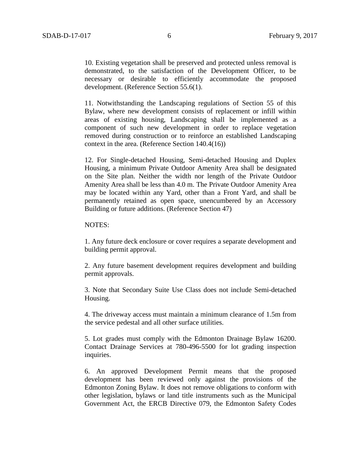10. Existing vegetation shall be preserved and protected unless removal is demonstrated, to the satisfaction of the Development Officer, to be necessary or desirable to efficiently accommodate the proposed development. (Reference Section 55.6(1).

11. Notwithstanding the Landscaping regulations of Section 55 of this Bylaw, where new development consists of replacement or infill within areas of existing housing, Landscaping shall be implemented as a component of such new development in order to replace vegetation removed during construction or to reinforce an established Landscaping context in the area. (Reference Section 140.4(16))

12. For Single-detached Housing, Semi-detached Housing and Duplex Housing, a minimum Private Outdoor Amenity Area shall be designated on the Site plan. Neither the width nor length of the Private Outdoor Amenity Area shall be less than 4.0 m. The Private Outdoor Amenity Area may be located within any Yard, other than a Front Yard, and shall be permanently retained as open space, unencumbered by an Accessory Building or future additions. (Reference Section 47)

### NOTES:

1. Any future deck enclosure or cover requires a separate development and building permit approval.

2. Any future basement development requires development and building permit approvals.

3. Note that Secondary Suite Use Class does not include Semi-detached Housing.

4. The driveway access must maintain a minimum clearance of 1.5m from the service pedestal and all other surface utilities.

5. Lot grades must comply with the Edmonton Drainage Bylaw 16200. Contact Drainage Services at 780-496-5500 for lot grading inspection inquiries.

6. An approved Development Permit means that the proposed development has been reviewed only against the provisions of the Edmonton Zoning Bylaw. It does not remove obligations to conform with other legislation, bylaws or land title instruments such as the Municipal Government Act, the ERCB Directive 079, the Edmonton Safety Codes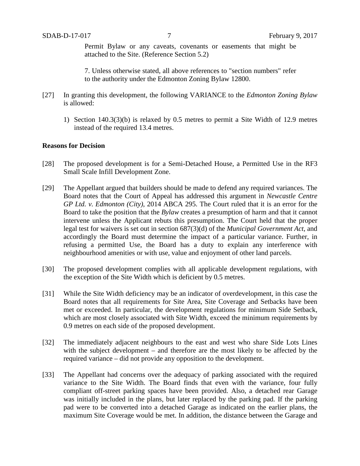Permit Bylaw or any caveats, covenants or easements that might be attached to the Site. (Reference Section 5.2)

7. Unless otherwise stated, all above references to "section numbers" refer to the authority under the Edmonton Zoning Bylaw 12800.

- [27] In granting this development, the following VARIANCE to the *Edmonton Zoning Bylaw* is allowed:
	- 1) Section 140.3(3)(b) is relaxed by 0.5 metres to permit a Site Width of 12.9 metres instead of the required 13.4 metres.

## **Reasons for Decision**

- [28] The proposed development is for a Semi-Detached House, a Permitted Use in the RF3 Small Scale Infill Development Zone.
- [29] The Appellant argued that builders should be made to defend any required variances. The Board notes that the Court of Appeal has addressed this argument in *Newcastle Centre GP Ltd. v. Edmonton (City)*, 2014 ABCA 295. The Court ruled that it is an error for the Board to take the position that the *Bylaw* creates a presumption of harm and that it cannot intervene unless the Applicant rebuts this presumption. The Court held that the proper legal test for waivers is set out in section 687(3)(d) of the *Municipal Government Act*, and accordingly the Board must determine the impact of a particular variance. Further, in refusing a permitted Use, the Board has a duty to explain any interference with neighbourhood amenities or with use, value and enjoyment of other land parcels.
- [30] The proposed development complies with all applicable development regulations, with the exception of the Site Width which is deficient by 0.5 metres.
- [31] While the Site Width deficiency may be an indicator of overdevelopment, in this case the Board notes that all requirements for Site Area, Site Coverage and Setbacks have been met or exceeded. In particular, the development regulations for minimum Side Setback, which are most closely associated with Site Width, exceed the minimum requirements by 0.9 metres on each side of the proposed development.
- [32] The immediately adjacent neighbours to the east and west who share Side Lots Lines with the subject development – and therefore are the most likely to be affected by the required variance – did not provide any opposition to the development.
- [33] The Appellant had concerns over the adequacy of parking associated with the required variance to the Site Width. The Board finds that even with the variance, four fully compliant off-street parking spaces have been provided. Also, a detached rear Garage was initially included in the plans, but later replaced by the parking pad. If the parking pad were to be converted into a detached Garage as indicated on the earlier plans, the maximum Site Coverage would be met. In addition, the distance between the Garage and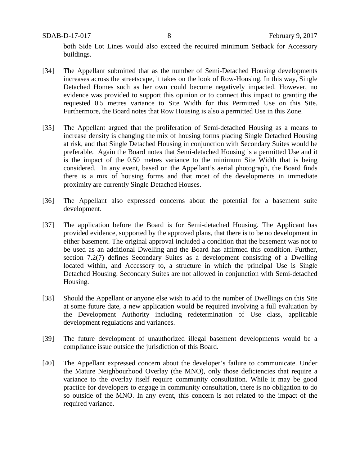SDAB-D-17-017 8 February 9, 2017

both Side Lot Lines would also exceed the required minimum Setback for Accessory buildings.

- [34] The Appellant submitted that as the number of Semi-Detached Housing developments increases across the streetscape, it takes on the look of Row-Housing. In this way, Single Detached Homes such as her own could become negatively impacted. However, no evidence was provided to support this opinion or to connect this impact to granting the requested 0.5 metres variance to Site Width for this Permitted Use on this Site. Furthermore, the Board notes that Row Housing is also a permitted Use in this Zone.
- [35] The Appellant argued that the proliferation of Semi-detached Housing as a means to increase density is changing the mix of housing forms placing Single Detached Housing at risk, and that Single Detached Housing in conjunction with Secondary Suites would be preferable. Again the Board notes that Semi-detached Housing is a permitted Use and it is the impact of the 0.50 metres variance to the minimum Site Width that is being considered. In any event, based on the Appellant's aerial photograph, the Board finds there is a mix of housing forms and that most of the developments in immediate proximity are currently Single Detached Houses.
- [36] The Appellant also expressed concerns about the potential for a basement suite development.
- [37] The application before the Board is for Semi-detached Housing. The Applicant has provided evidence, supported by the approved plans, that there is to be no development in either basement. The original approval included a condition that the basement was not to be used as an additional Dwelling and the Board has affirmed this condition. Further, section 7.2(7) defines Secondary Suites as a development consisting of a Dwelling located within, and Accessory to, a structure in which the principal Use is Single Detached Housing. Secondary Suites are not allowed in conjunction with Semi-detached Housing.
- [38] Should the Appellant or anyone else wish to add to the number of Dwellings on this Site at some future date, a new application would be required involving a full evaluation by the Development Authority including redetermination of Use class, applicable development regulations and variances.
- [39] The future development of unauthorized illegal basement developments would be a compliance issue outside the jurisdiction of this Board.
- [40] The Appellant expressed concern about the developer's failure to communicate. Under the Mature Neighbourhood Overlay (the MNO), only those deficiencies that require a variance to the overlay itself require community consultation. While it may be good practice for developers to engage in community consultation, there is no obligation to do so outside of the MNO. In any event, this concern is not related to the impact of the required variance.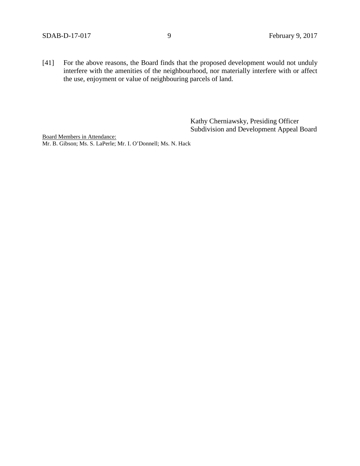[41] For the above reasons, the Board finds that the proposed development would not unduly interfere with the amenities of the neighbourhood, nor materially interfere with or affect the use, enjoyment or value of neighbouring parcels of land.

> Kathy Cherniawsky, Presiding Officer Subdivision and Development Appeal Board

Board Members in Attendance: Mr. B. Gibson; Ms. S. LaPerle; Mr. I. O'Donnell; Ms. N. Hack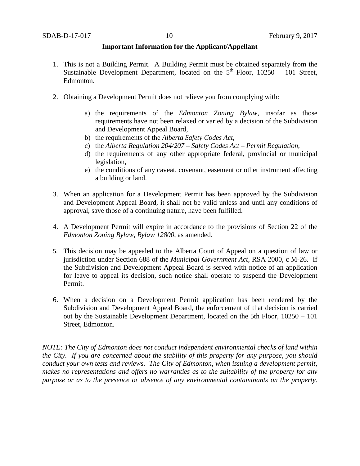## **Important Information for the Applicant/Appellant**

- 1. This is not a Building Permit. A Building Permit must be obtained separately from the Sustainable Development Department, located on the  $5<sup>th</sup>$  Floor, 10250 – 101 Street, Edmonton.
- 2. Obtaining a Development Permit does not relieve you from complying with:
	- a) the requirements of the *Edmonton Zoning Bylaw*, insofar as those requirements have not been relaxed or varied by a decision of the Subdivision and Development Appeal Board,
	- b) the requirements of the *Alberta Safety Codes Act*,
	- c) the *Alberta Regulation 204/207 – Safety Codes Act – Permit Regulation*,
	- d) the requirements of any other appropriate federal, provincial or municipal legislation,
	- e) the conditions of any caveat, covenant, easement or other instrument affecting a building or land.
- 3. When an application for a Development Permit has been approved by the Subdivision and Development Appeal Board, it shall not be valid unless and until any conditions of approval, save those of a continuing nature, have been fulfilled.
- 4. A Development Permit will expire in accordance to the provisions of Section 22 of the *Edmonton Zoning Bylaw, Bylaw 12800*, as amended.
- 5. This decision may be appealed to the Alberta Court of Appeal on a question of law or jurisdiction under Section 688 of the *Municipal Government Act*, RSA 2000, c M-26. If the Subdivision and Development Appeal Board is served with notice of an application for leave to appeal its decision, such notice shall operate to suspend the Development Permit.
- 6. When a decision on a Development Permit application has been rendered by the Subdivision and Development Appeal Board, the enforcement of that decision is carried out by the Sustainable Development Department, located on the 5th Floor, 10250 – 101 Street, Edmonton.

*NOTE: The City of Edmonton does not conduct independent environmental checks of land within the City. If you are concerned about the stability of this property for any purpose, you should conduct your own tests and reviews. The City of Edmonton, when issuing a development permit, makes no representations and offers no warranties as to the suitability of the property for any purpose or as to the presence or absence of any environmental contaminants on the property.*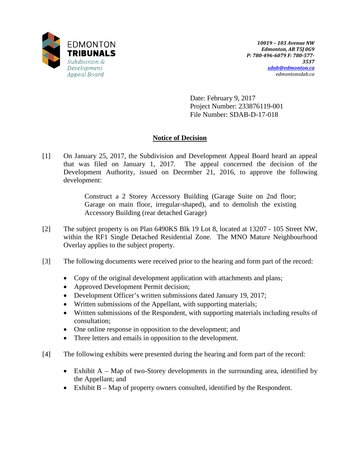

Date: February 9, 2017 Project Number: 233876119-001 File Number: SDAB-D-17-018

# **Notice of Decision**

[1] On January 25, 2017, the Subdivision and Development Appeal Board heard an appeal that was filed on January 1, 2017. The appeal concerned the decision of the Development Authority, issued on December 21, 2016, to approve the following development:

> Construct a 2 Storey Accessory Building (Garage Suite on 2nd floor; Garage on main floor, irregular-shaped), and to demolish the existing Accessory Building (rear detached Garage)

- [2] The subject property is on Plan 6490KS Blk 19 Lot 8, located at 13207 105 Street NW, within the RF1 Single Detached Residential Zone. The MNO Mature Neighbourhood Overlay applies to the subject property.
- [3] The following documents were received prior to the hearing and form part of the record:
	- Copy of the original development application with attachments and plans;
	- Approved Development Permit decision;
	- Development Officer's written submissions dated January 19, 2017;
	- Written submissions of the Appellant, with supporting materials;
	- Written submissions of the Respondent, with supporting materials including results of consultation;
	- One online response in opposition to the development; and
	- Three letters and emails in opposition to the development.
- [4] The following exhibits were presented during the hearing and form part of the record:
	- Exhibit A Map of two-Storey developments in the surrounding area, identified by the Appellant; and
	- Exhibit B Map of property owners consulted, identified by the Respondent.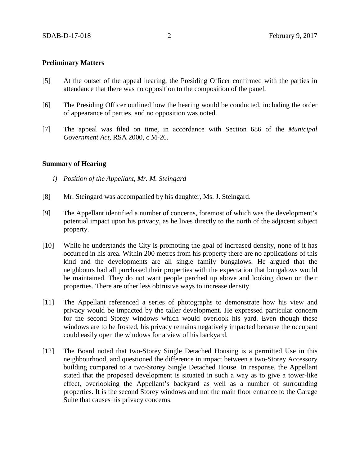## **Preliminary Matters**

- [5] At the outset of the appeal hearing, the Presiding Officer confirmed with the parties in attendance that there was no opposition to the composition of the panel.
- [6] The Presiding Officer outlined how the hearing would be conducted, including the order of appearance of parties, and no opposition was noted.
- [7] The appeal was filed on time, in accordance with Section 686 of the *Municipal Government Act*, RSA 2000, c M-26.

## **Summary of Hearing**

- *i) Position of the Appellant, Mr. M. Steingard*
- [8] Mr. Steingard was accompanied by his daughter, Ms. J. Steingard.
- [9] The Appellant identified a number of concerns, foremost of which was the development's potential impact upon his privacy, as he lives directly to the north of the adjacent subject property.
- [10] While he understands the City is promoting the goal of increased density, none of it has occurred in his area. Within 200 metres from his property there are no applications of this kind and the developments are all single family bungalows. He argued that the neighbours had all purchased their properties with the expectation that bungalows would be maintained. They do not want people perched up above and looking down on their properties. There are other less obtrusive ways to increase density.
- [11] The Appellant referenced a series of photographs to demonstrate how his view and privacy would be impacted by the taller development. He expressed particular concern for the second Storey windows which would overlook his yard. Even though these windows are to be frosted, his privacy remains negatively impacted because the occupant could easily open the windows for a view of his backyard.
- [12] The Board noted that two-Storey Single Detached Housing is a permitted Use in this neighbourhood, and questioned the difference in impact between a two-Storey Accessory building compared to a two-Storey Single Detached House. In response, the Appellant stated that the proposed development is situated in such a way as to give a tower-like effect, overlooking the Appellant's backyard as well as a number of surrounding properties. It is the second Storey windows and not the main floor entrance to the Garage Suite that causes his privacy concerns.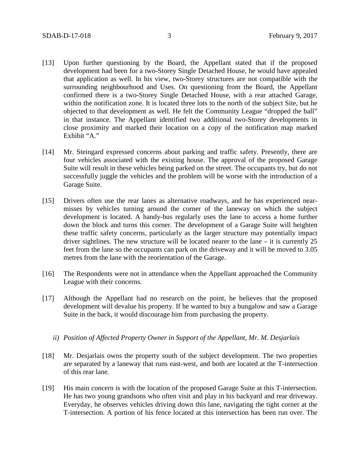- [13] Upon further questioning by the Board, the Appellant stated that if the proposed development had been for a two-Storey Single Detached House, he would have appealed that application as well. In his view, two-Storey structures are not compatible with the surrounding neighbourhood and Uses. On questioning from the Board, the Appellant confirmed there is a two-Storey Single Detached House, with a rear attached Garage, within the notification zone. It is located three lots to the north of the subject Site, but he objected to that development as well. He felt the Community League "dropped the ball" in that instance. The Appellant identified two additional two-Storey developments in close proximity and marked their location on a copy of the notification map marked Exhibit "A."
- [14] Mr. Steingard expressed concerns about parking and traffic safety. Presently, there are four vehicles associated with the existing house. The approval of the proposed Garage Suite will result in these vehicles being parked on the street. The occupants try, but do not successfully juggle the vehicles and the problem will be worse with the introduction of a Garage Suite.
- [15] Drivers often use the rear lanes as alternative roadways, and he has experienced nearmisses by vehicles turning around the corner of the laneway on which the subject development is located. A handy-bus regularly uses the lane to access a home further down the block and turns this corner. The development of a Garage Suite will heighten these traffic safety concerns, particularly as the larger structure may potentially impact driver sightlines. The new structure will be located nearer to the lane – it is currently 25 feet from the lane so the occupants can park on the driveway and it will be moved to 3.05 metres from the lane with the reorientation of the Garage.
- [16] The Respondents were not in attendance when the Appellant approached the Community League with their concerns.
- [17] Although the Appellant had no research on the point, he believes that the proposed development will devalue his property. If he wanted to buy a bungalow and saw a Garage Suite in the back, it would discourage him from purchasing the property.
	- *ii) Position of Affected Property Owner in Support of the Appellant, Mr. M. Desjarlais*
- [18] Mr. Desjarlais owns the property south of the subject development. The two properties are separated by a laneway that runs east-west, and both are located at the T-intersection of this rear lane.
- [19] His main concern is with the location of the proposed Garage Suite at this T-intersection. He has two young grandsons who often visit and play in his backyard and rear driveway. Everyday, he observes vehicles driving down this lane, navigating the tight corner at the T-intersection. A portion of his fence located at this intersection has been run over. The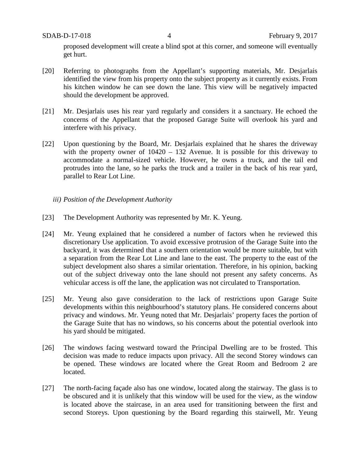proposed development will create a blind spot at this corner, and someone will eventually get hurt.

- [20] Referring to photographs from the Appellant's supporting materials, Mr. Desjarlais identified the view from his property onto the subject property as it currently exists. From his kitchen window he can see down the lane. This view will be negatively impacted should the development be approved.
- [21] Mr. Desjarlais uses his rear yard regularly and considers it a sanctuary. He echoed the concerns of the Appellant that the proposed Garage Suite will overlook his yard and interfere with his privacy.
- [22] Upon questioning by the Board, Mr. Desjarlais explained that he shares the driveway with the property owner of  $10420 - 132$  Avenue. It is possible for this driveway to accommodate a normal-sized vehicle. However, he owns a truck, and the tail end protrudes into the lane, so he parks the truck and a trailer in the back of his rear yard, parallel to Rear Lot Line.
	- *iii) Position of the Development Authority*
- [23] The Development Authority was represented by Mr. K. Yeung.
- [24] Mr. Yeung explained that he considered a number of factors when he reviewed this discretionary Use application. To avoid excessive protrusion of the Garage Suite into the backyard, it was determined that a southern orientation would be more suitable, but with a separation from the Rear Lot Line and lane to the east. The property to the east of the subject development also shares a similar orientation. Therefore, in his opinion, backing out of the subject driveway onto the lane should not present any safety concerns. As vehicular access is off the lane, the application was not circulated to Transportation.
- [25] Mr. Yeung also gave consideration to the lack of restrictions upon Garage Suite developments within this neighbourhood's statutory plans. He considered concerns about privacy and windows. Mr. Yeung noted that Mr. Desjarlais' property faces the portion of the Garage Suite that has no windows, so his concerns about the potential overlook into his yard should be mitigated.
- [26] The windows facing westward toward the Principal Dwelling are to be frosted. This decision was made to reduce impacts upon privacy. All the second Storey windows can be opened. These windows are located where the Great Room and Bedroom 2 are located.
- [27] The north-facing façade also has one window, located along the stairway. The glass is to be obscured and it is unlikely that this window will be used for the view, as the window is located above the staircase, in an area used for transitioning between the first and second Storeys. Upon questioning by the Board regarding this stairwell, Mr. Yeung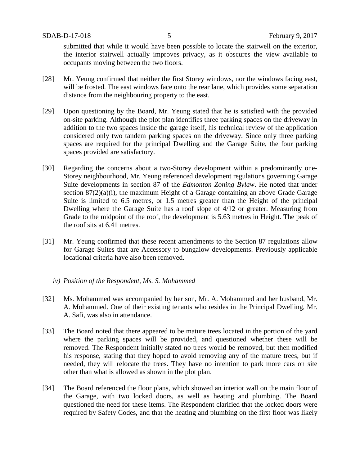submitted that while it would have been possible to locate the stairwell on the exterior, the interior stairwell actually improves privacy, as it obscures the view available to occupants moving between the two floors.

- [28] Mr. Yeung confirmed that neither the first Storey windows, nor the windows facing east, will be frosted. The east windows face onto the rear lane, which provides some separation distance from the neighbouring property to the east.
- [29] Upon questioning by the Board, Mr. Yeung stated that he is satisfied with the provided on-site parking. Although the plot plan identifies three parking spaces on the driveway in addition to the two spaces inside the garage itself, his technical review of the application considered only two tandem parking spaces on the driveway. Since only three parking spaces are required for the principal Dwelling and the Garage Suite, the four parking spaces provided are satisfactory.
- [30] Regarding the concerns about a two-Storey development within a predominantly one-Storey neighbourhood, Mr. Yeung referenced development regulations governing Garage Suite developments in section 87 of the *Edmonton Zoning Bylaw*. He noted that under section 87(2)(a)(i), the maximum Height of a Garage containing an above Grade Garage Suite is limited to 6.5 metres, or 1.5 metres greater than the Height of the principal Dwelling where the Garage Suite has a roof slope of 4/12 or greater. Measuring from Grade to the midpoint of the roof, the development is 5.63 metres in Height. The peak of the roof sits at 6.41 metres.
- [31] Mr. Yeung confirmed that these recent amendments to the Section 87 regulations allow for Garage Suites that are Accessory to bungalow developments. Previously applicable locational criteria have also been removed.
	- *iv) Position of the Respondent, Ms. S. Mohammed*
- [32] Ms. Mohammed was accompanied by her son, Mr. A. Mohammed and her husband, Mr. A. Mohammed. One of their existing tenants who resides in the Principal Dwelling, Mr. A. Safi, was also in attendance.
- [33] The Board noted that there appeared to be mature trees located in the portion of the yard where the parking spaces will be provided, and questioned whether these will be removed. The Respondent initially stated no trees would be removed, but then modified his response, stating that they hoped to avoid removing any of the mature trees, but if needed, they will relocate the trees. They have no intention to park more cars on site other than what is allowed as shown in the plot plan.
- [34] The Board referenced the floor plans, which showed an interior wall on the main floor of the Garage, with two locked doors, as well as heating and plumbing. The Board questioned the need for these items. The Respondent clarified that the locked doors were required by Safety Codes, and that the heating and plumbing on the first floor was likely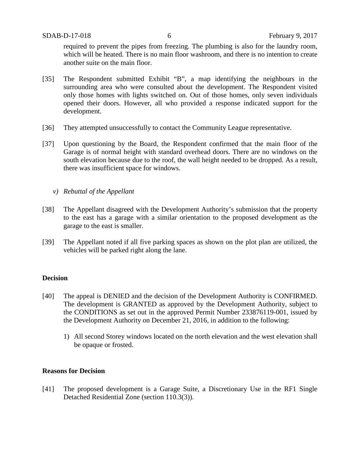required to prevent the pipes from freezing. The plumbing is also for the laundry room, which will be heated. There is no main floor washroom, and there is no intention to create another suite on the main floor.

- [35] The Respondent submitted Exhibit "B", a map identifying the neighbours in the surrounding area who were consulted about the development. The Respondent visited only those homes with lights switched on. Out of those homes, only seven individuals opened their doors. However, all who provided a response indicated support for the development.
- [36] They attempted unsuccessfully to contact the Community League representative.
- [37] Upon questioning by the Board, the Respondent confirmed that the main floor of the Garage is of normal height with standard overhead doors. There are no windows on the south elevation because due to the roof, the wall height needed to be dropped. As a result, there was insufficient space for windows.
	- *v) Rebuttal of the Appellant*
- [38] The Appellant disagreed with the Development Authority's submission that the property to the east has a garage with a similar orientation to the proposed development as the garage to the east is smaller.
- [39] The Appellant noted if all five parking spaces as shown on the plot plan are utilized, the vehicles will be parked right along the lane.

## **Decision**

- [40] The appeal is DENIED and the decision of the Development Authority is CONFIRMED. The development is GRANTED as approved by the Development Authority, subject to the CONDITIONS as set out in the approved Permit Number 233876119-001, issued by the Development Authority on December 21, 2016, in addition to the following:
	- 1) All second Storey windows located on the north elevation and the west elevation shall be opaque or frosted.

### **Reasons for Decision**

[41] The proposed development is a Garage Suite, a Discretionary Use in the RF1 Single Detached Residential Zone (section 110.3(3)).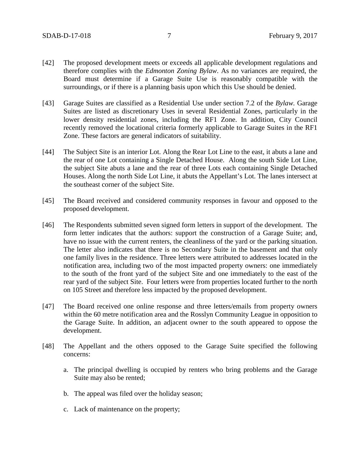- [42] The proposed development meets or exceeds all applicable development regulations and therefore complies with the *Edmonton Zoning Bylaw*. As no variances are required, the Board must determine if a Garage Suite Use is reasonably compatible with the surroundings, or if there is a planning basis upon which this Use should be denied.
- [43] Garage Suites are classified as a Residential Use under section 7.2 of the *Bylaw.* Garage Suites are listed as discretionary Uses in several Residential Zones, particularly in the lower density residential zones, including the RF1 Zone. In addition, City Council recently removed the locational criteria formerly applicable to Garage Suites in the RF1 Zone. These factors are general indicators of suitability.
- [44] The Subject Site is an interior Lot. Along the Rear Lot Line to the east, it abuts a lane and the rear of one Lot containing a Single Detached House. Along the south Side Lot Line, the subject Site abuts a lane and the rear of three Lots each containing Single Detached Houses. Along the north Side Lot Line, it abuts the Appellant's Lot. The lanes intersect at the southeast corner of the subject Site.
- [45] The Board received and considered community responses in favour and opposed to the proposed development.
- [46] The Respondents submitted seven signed form letters in support of the development. The form letter indicates that the authors: support the construction of a Garage Suite; and, have no issue with the current renters, the cleanliness of the yard or the parking situation. The letter also indicates that there is no Secondary Suite in the basement and that only one family lives in the residence. Three letters were attributed to addresses located in the notification area, including two of the most impacted property owners: one immediately to the south of the front yard of the subject Site and one immediately to the east of the rear yard of the subject Site. Four letters were from properties located further to the north on 105 Street and therefore less impacted by the proposed development.
- [47] The Board received one online response and three letters/emails from property owners within the 60 metre notification area and the Rosslyn Community League in opposition to the Garage Suite. In addition, an adjacent owner to the south appeared to oppose the development.
- [48] The Appellant and the others opposed to the Garage Suite specified the following concerns:
	- a. The principal dwelling is occupied by renters who bring problems and the Garage Suite may also be rented;
	- b. The appeal was filed over the holiday season;
	- c. Lack of maintenance on the property;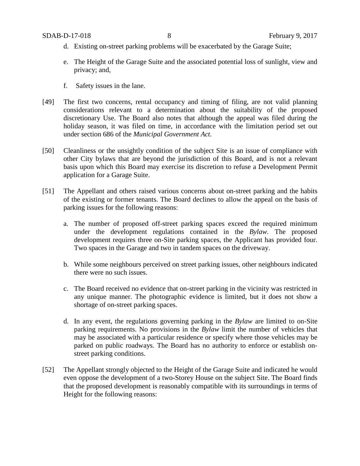- d. Existing on-street parking problems will be exacerbated by the Garage Suite;
- e. The Height of the Garage Suite and the associated potential loss of sunlight, view and privacy; and,
- f. Safety issues in the lane.
- [49] The first two concerns, rental occupancy and timing of filing, are not valid planning considerations relevant to a determination about the suitability of the proposed discretionary Use. The Board also notes that although the appeal was filed during the holiday season, it was filed on time, in accordance with the limitation period set out under section 686 of the *Municipal Government Act.*
- [50] Cleanliness or the unsightly condition of the subject Site is an issue of compliance with other City bylaws that are beyond the jurisdiction of this Board, and is not a relevant basis upon which this Board may exercise its discretion to refuse a Development Permit application for a Garage Suite.
- [51] The Appellant and others raised various concerns about on-street parking and the habits of the existing or former tenants. The Board declines to allow the appeal on the basis of parking issues for the following reasons:
	- a. The number of proposed off-street parking spaces exceed the required minimum under the development regulations contained in the *Bylaw*. The proposed development requires three on-Site parking spaces, the Applicant has provided four. Two spaces in the Garage and two in tandem spaces on the driveway.
	- b. While some neighbours perceived on street parking issues, other neighbours indicated there were no such issues.
	- c. The Board received no evidence that on-street parking in the vicinity was restricted in any unique manner. The photographic evidence is limited, but it does not show a shortage of on-street parking spaces.
	- d. In any event, the regulations governing parking in the *Bylaw* are limited to on-Site parking requirements. No provisions in the *Bylaw* limit the number of vehicles that may be associated with a particular residence or specify where those vehicles may be parked on public roadways. The Board has no authority to enforce or establish onstreet parking conditions.
- [52] The Appellant strongly objected to the Height of the Garage Suite and indicated he would even oppose the development of a two-Storey House on the subject Site. The Board finds that the proposed development is reasonably compatible with its surroundings in terms of Height for the following reasons: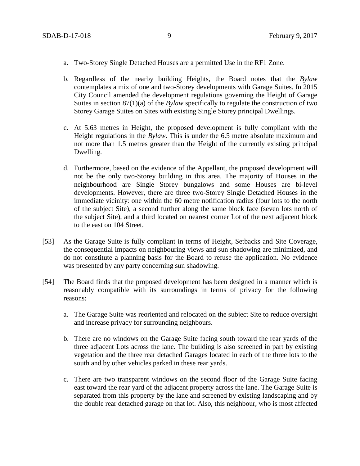- a. Two-Storey Single Detached Houses are a permitted Use in the RF1 Zone.
- b. Regardless of the nearby building Heights, the Board notes that the *Bylaw* contemplates a mix of one and two-Storey developments with Garage Suites. In 2015 City Council amended the development regulations governing the Height of Garage Suites in section 87(1)(a) of the *Bylaw* specifically to regulate the construction of two Storey Garage Suites on Sites with existing Single Storey principal Dwellings.
- c. At 5.63 metres in Height, the proposed development is fully compliant with the Height regulations in the *Bylaw*. This is under the 6.5 metre absolute maximum and not more than 1.5 metres greater than the Height of the currently existing principal Dwelling.
- d. Furthermore, based on the evidence of the Appellant, the proposed development will not be the only two-Storey building in this area. The majority of Houses in the neighbourhood are Single Storey bungalows and some Houses are bi-level developments. However, there are three two-Storey Single Detached Houses in the immediate vicinity: one within the 60 metre notification radius (four lots to the north of the subject Site), a second further along the same block face (seven lots north of the subject Site), and a third located on nearest corner Lot of the next adjacent block to the east on 104 Street.
- [53] As the Garage Suite is fully compliant in terms of Height, Setbacks and Site Coverage, the consequential impacts on neighbouring views and sun shadowing are minimized, and do not constitute a planning basis for the Board to refuse the application. No evidence was presented by any party concerning sun shadowing.
- [54] The Board finds that the proposed development has been designed in a manner which is reasonably compatible with its surroundings in terms of privacy for the following reasons:
	- a. The Garage Suite was reoriented and relocated on the subject Site to reduce oversight and increase privacy for surrounding neighbours.
	- b. There are no windows on the Garage Suite facing south toward the rear yards of the three adjacent Lots across the lane. The building is also screened in part by existing vegetation and the three rear detached Garages located in each of the three lots to the south and by other vehicles parked in these rear yards.
	- c. There are two transparent windows on the second floor of the Garage Suite facing east toward the rear yard of the adjacent property across the lane. The Garage Suite is separated from this property by the lane and screened by existing landscaping and by the double rear detached garage on that lot. Also, this neighbour, who is most affected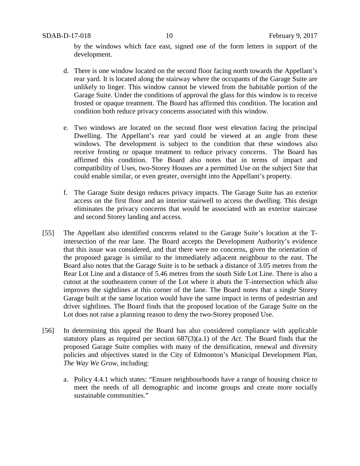by the windows which face east, signed one of the form letters in support of the development.

- d. There is one window located on the second floor facing north towards the Appellant's rear yard. It is located along the stairway where the occupants of the Garage Suite are unlikely to linger. This window cannot be viewed from the habitable portion of the Garage Suite. Under the conditions of approval the glass for this window is to receive frosted or opaque treatment. The Board has affirmed this condition. The location and condition both reduce privacy concerns associated with this window.
- e. Two windows are located on the second floor west elevation facing the principal Dwelling. The Appellant's rear yard could be viewed at an angle from these windows. The development is subject to the condition that these windows also receive frosting or opaque treatment to reduce privacy concerns. The Board has affirmed this condition. The Board also notes that in terms of impact and compatibility of Uses, two-Storey Houses are a permitted Use on the subject Site that could enable similar, or even greater, oversight into the Appellant's property.
- f. The Garage Suite design reduces privacy impacts. The Garage Suite has an exterior access on the first floor and an interior stairwell to access the dwelling. This design eliminates the privacy concerns that would be associated with an exterior staircase and second Storey landing and access.
- [55] The Appellant also identified concerns related to the Garage Suite's location at the Tintersection of the rear lane. The Board accepts the Development Authority's evidence that this issue was considered, and that there were no concerns, given the orientation of the proposed garage is similar to the immediately adjacent neighbour to the east. The Board also notes that the Garage Suite is to be setback a distance of 3.05 metres from the Rear Lot Line and a distance of 5.46 metres from the south Side Lot Line. There is also a cutout at the southeastern corner of the Lot where it abuts the T-intersection which also improves the sightlines at this corner of the lane. The Board notes that a single Storey Garage built at the same location would have the same impact in terms of pedestrian and driver sightlines. The Board finds that the proposed location of the Garage Suite on the Lot does not raise a planning reason to deny the two-Storey proposed Use.
- [56] In determining this appeal the Board has also considered compliance with applicable statutory plans as required per section 687(3)(a.1) of the *Act*. The Board finds that the proposed Garage Suite complies with many of the densification, renewal and diversity policies and objectives stated in the City of Edmonton's Municipal Development Plan, *The Way We Grow*, including:
	- a. Policy 4.4.1 which states: "Ensure neighbourhoods have a range of housing choice to meet the needs of all demographic and income groups and create more socially sustainable communities."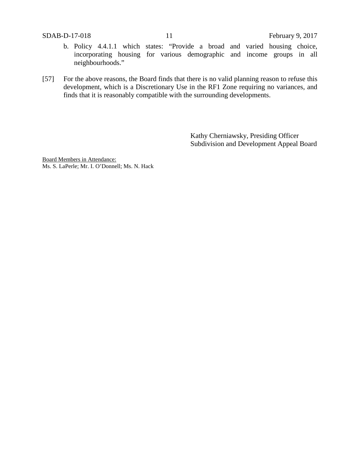- b. Policy 4.4.1.1 which states: "Provide a broad and varied housing choice, incorporating housing for various demographic and income groups in all neighbourhoods."
- [57] For the above reasons, the Board finds that there is no valid planning reason to refuse this development, which is a Discretionary Use in the RF1 Zone requiring no variances, and finds that it is reasonably compatible with the surrounding developments.

Kathy Cherniawsky, Presiding Officer Subdivision and Development Appeal Board

Board Members in Attendance: Ms. S. LaPerle; Mr. I. O'Donnell; Ms. N. Hack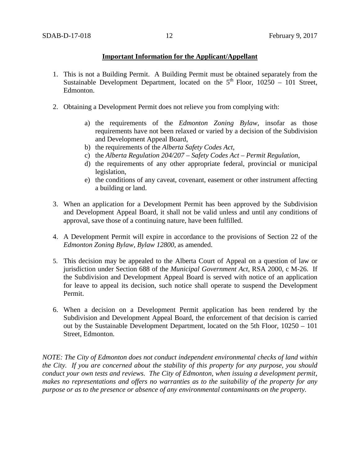## **Important Information for the Applicant/Appellant**

- 1. This is not a Building Permit. A Building Permit must be obtained separately from the Sustainable Development Department, located on the  $5<sup>th</sup>$  Floor, 10250 – 101 Street, Edmonton.
- 2. Obtaining a Development Permit does not relieve you from complying with:
	- a) the requirements of the *Edmonton Zoning Bylaw*, insofar as those requirements have not been relaxed or varied by a decision of the Subdivision and Development Appeal Board,
	- b) the requirements of the *Alberta Safety Codes Act*,
	- c) the *Alberta Regulation 204/207 – Safety Codes Act – Permit Regulation*,
	- d) the requirements of any other appropriate federal, provincial or municipal legislation,
	- e) the conditions of any caveat, covenant, easement or other instrument affecting a building or land.
- 3. When an application for a Development Permit has been approved by the Subdivision and Development Appeal Board, it shall not be valid unless and until any conditions of approval, save those of a continuing nature, have been fulfilled.
- 4. A Development Permit will expire in accordance to the provisions of Section 22 of the *Edmonton Zoning Bylaw, Bylaw 12800*, as amended.
- 5. This decision may be appealed to the Alberta Court of Appeal on a question of law or jurisdiction under Section 688 of the *Municipal Government Act*, RSA 2000, c M-26. If the Subdivision and Development Appeal Board is served with notice of an application for leave to appeal its decision, such notice shall operate to suspend the Development Permit.
- 6. When a decision on a Development Permit application has been rendered by the Subdivision and Development Appeal Board, the enforcement of that decision is carried out by the Sustainable Development Department, located on the 5th Floor, 10250 – 101 Street, Edmonton.

*NOTE: The City of Edmonton does not conduct independent environmental checks of land within the City. If you are concerned about the stability of this property for any purpose, you should conduct your own tests and reviews. The City of Edmonton, when issuing a development permit, makes no representations and offers no warranties as to the suitability of the property for any purpose or as to the presence or absence of any environmental contaminants on the property.*